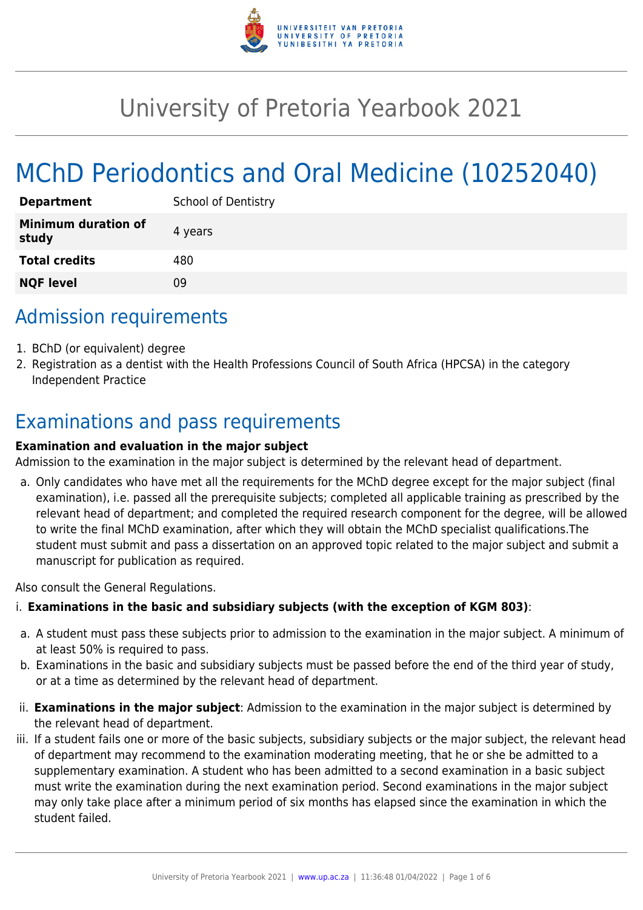

# University of Pretoria Yearbook 2021

# MChD Periodontics and Oral Medicine (10252040)

| <b>Department</b>                   | <b>School of Dentistry</b> |
|-------------------------------------|----------------------------|
| <b>Minimum duration of</b><br>study | 4 years                    |
| <b>Total credits</b>                | 480                        |
| <b>NQF level</b>                    | ΩÓ                         |

# Admission requirements

- 1. BChD (or equivalent) degree
- 2. Registration as a dentist with the Health Professions Council of South Africa (HPCSA) in the category Independent Practice

# Examinations and pass requirements

#### **Examination and evaluation in the major subject**

Admission to the examination in the major subject is determined by the relevant head of department.

a. Only candidates who have met all the requirements for the MChD degree except for the major subject (final examination), i.e. passed all the prerequisite subjects; completed all applicable training as prescribed by the relevant head of department; and completed the required research component for the degree, will be allowed to write the final MChD examination, after which they will obtain the MChD specialist qualifications.The student must submit and pass a dissertation on an approved topic related to the major subject and submit a manuscript for publication as required.

Also consult the General Regulations.

#### i. **Examinations in the basic and subsidiary subjects (with the exception of KGM 803)**:

- a. A student must pass these subjects prior to admission to the examination in the major subject. A minimum of at least 50% is required to pass.
- b. Examinations in the basic and subsidiary subjects must be passed before the end of the third year of study, or at a time as determined by the relevant head of department.
- ii. **Examinations in the major subject**: Admission to the examination in the major subject is determined by the relevant head of department.
- iii. If a student fails one or more of the basic subjects, subsidiary subjects or the major subject, the relevant head of department may recommend to the examination moderating meeting, that he or she be admitted to a supplementary examination. A student who has been admitted to a second examination in a basic subject must write the examination during the next examination period. Second examinations in the major subject may only take place after a minimum period of six months has elapsed since the examination in which the student failed.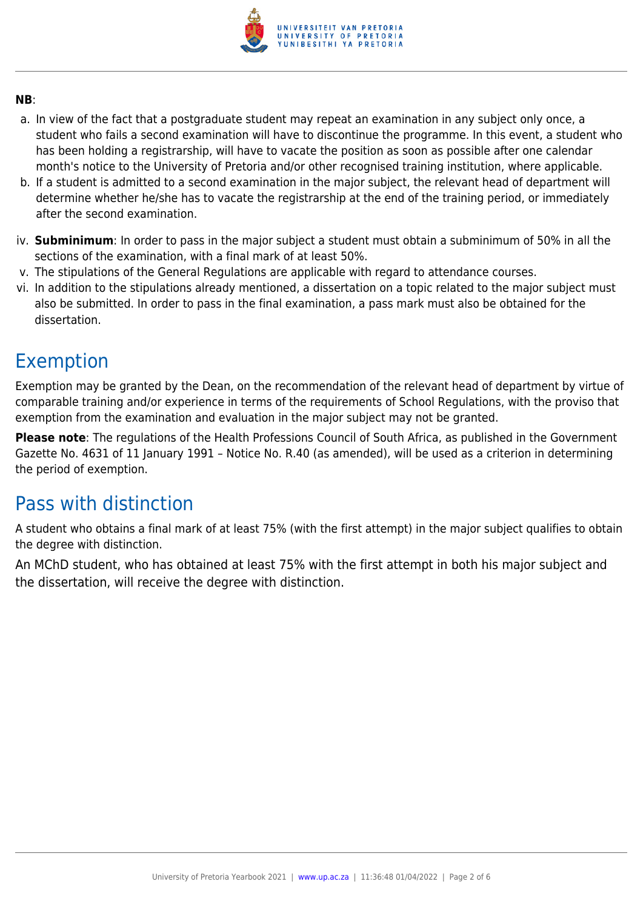

#### **NB**:

- a. In view of the fact that a postgraduate student may repeat an examination in any subject only once, a student who fails a second examination will have to discontinue the programme. In this event, a student who has been holding a registrarship, will have to vacate the position as soon as possible after one calendar month's notice to the University of Pretoria and/or other recognised training institution, where applicable.
- b. If a student is admitted to a second examination in the major subject, the relevant head of department will determine whether he/she has to vacate the registrarship at the end of the training period, or immediately after the second examination.
- iv. **Subminimum**: In order to pass in the major subject a student must obtain a subminimum of 50% in all the sections of the examination, with a final mark of at least 50%.
- v. The stipulations of the General Regulations are applicable with regard to attendance courses.
- vi. In addition to the stipulations already mentioned, a dissertation on a topic related to the major subject must also be submitted. In order to pass in the final examination, a pass mark must also be obtained for the dissertation.

### Exemption

Exemption may be granted by the Dean, on the recommendation of the relevant head of department by virtue of comparable training and/or experience in terms of the requirements of School Regulations, with the proviso that exemption from the examination and evaluation in the major subject may not be granted.

**Please note**: The regulations of the Health Professions Council of South Africa, as published in the Government Gazette No. 4631 of 11 January 1991 – Notice No. R.40 (as amended), will be used as a criterion in determining the period of exemption.

### Pass with distinction

A student who obtains a final mark of at least 75% (with the first attempt) in the major subject qualifies to obtain the degree with distinction.

An MChD student, who has obtained at least 75% with the first attempt in both his major subject and the dissertation, will receive the degree with distinction.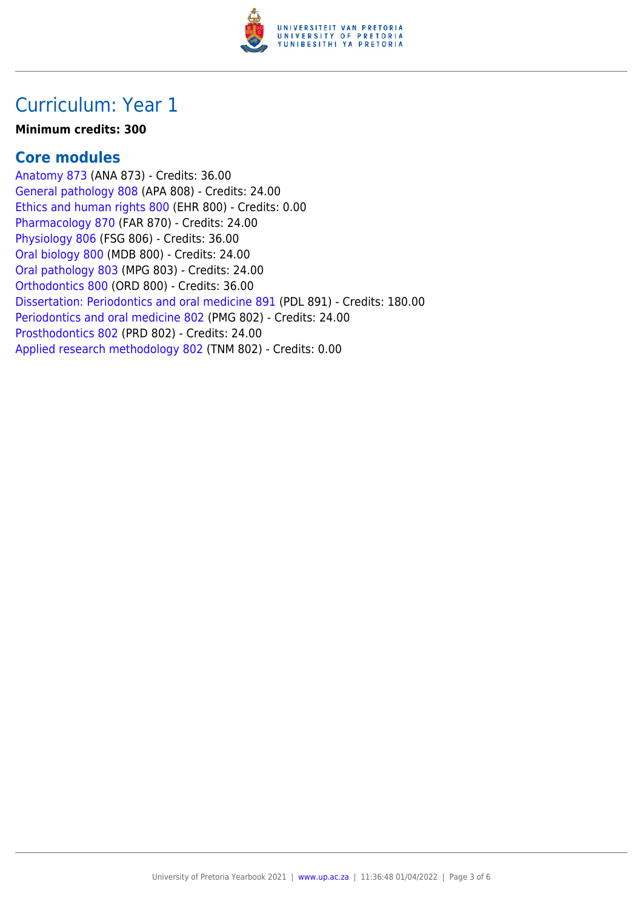

## Curriculum: Year 1

#### **Minimum credits: 300**

### **Core modules**

[Anatomy 873](https://www.up.ac.za/yearbooks/2021/modules/view/ANA 873) (ANA 873) - Credits: 36.00 [General pathology 808](https://www.up.ac.za/yearbooks/2021/modules/view/APA 808) (APA 808) - Credits: 24.00 [Ethics and human rights 800](https://www.up.ac.za/yearbooks/2021/modules/view/EHR 800) (EHR 800) - Credits: 0.00 [Pharmacology 870](https://www.up.ac.za/yearbooks/2021/modules/view/FAR 870) (FAR 870) - Credits: 24.00 [Physiology 806](https://www.up.ac.za/yearbooks/2021/modules/view/FSG 806) (FSG 806) - Credits: 36.00 [Oral biology 800](https://www.up.ac.za/yearbooks/2021/modules/view/MDB 800) (MDB 800) - Credits: 24.00 [Oral pathology 803](https://www.up.ac.za/yearbooks/2021/modules/view/MPG 803) (MPG 803) - Credits: 24.00 [Orthodontics 800](https://www.up.ac.za/yearbooks/2021/modules/view/ORD 800) (ORD 800) - Credits: 36.00 [Dissertation: Periodontics and oral medicine 891](https://www.up.ac.za/yearbooks/2021/modules/view/PDL 891) (PDL 891) - Credits: 180.00 [Periodontics and oral medicine 802](https://www.up.ac.za/yearbooks/2021/modules/view/PMG 802) (PMG 802) - Credits: 24.00 [Prosthodontics 802](https://www.up.ac.za/yearbooks/2021/modules/view/PRD 802) (PRD 802) - Credits: 24.00 [Applied research methodology 802](https://www.up.ac.za/yearbooks/2021/modules/view/TNM 802) (TNM 802) - Credits: 0.00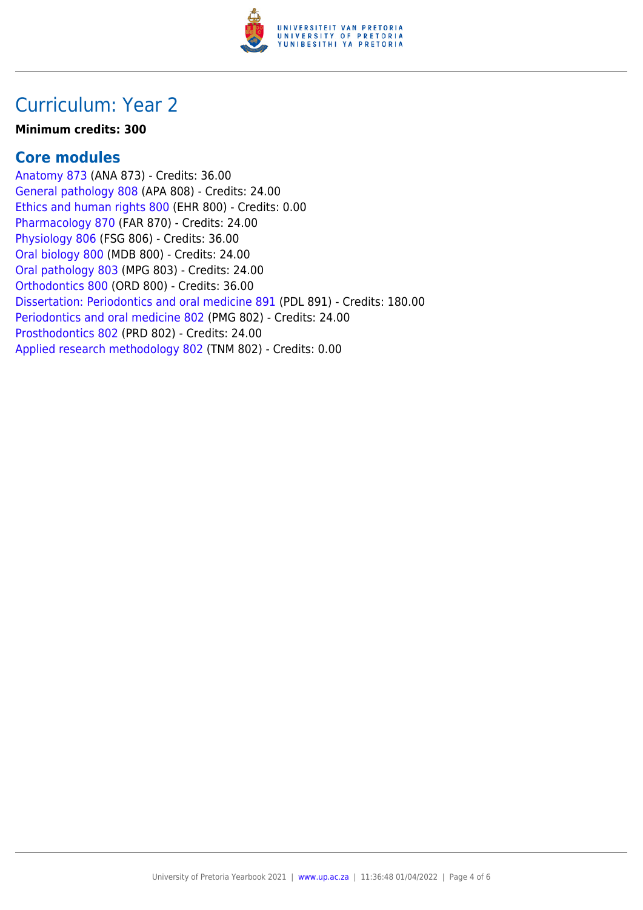

## Curriculum: Year 2

#### **Minimum credits: 300**

### **Core modules**

[Anatomy 873](https://www.up.ac.za/yearbooks/2021/modules/view/ANA 873) (ANA 873) - Credits: 36.00 [General pathology 808](https://www.up.ac.za/yearbooks/2021/modules/view/APA 808) (APA 808) - Credits: 24.00 [Ethics and human rights 800](https://www.up.ac.za/yearbooks/2021/modules/view/EHR 800) (EHR 800) - Credits: 0.00 [Pharmacology 870](https://www.up.ac.za/yearbooks/2021/modules/view/FAR 870) (FAR 870) - Credits: 24.00 [Physiology 806](https://www.up.ac.za/yearbooks/2021/modules/view/FSG 806) (FSG 806) - Credits: 36.00 [Oral biology 800](https://www.up.ac.za/yearbooks/2021/modules/view/MDB 800) (MDB 800) - Credits: 24.00 [Oral pathology 803](https://www.up.ac.za/yearbooks/2021/modules/view/MPG 803) (MPG 803) - Credits: 24.00 [Orthodontics 800](https://www.up.ac.za/yearbooks/2021/modules/view/ORD 800) (ORD 800) - Credits: 36.00 [Dissertation: Periodontics and oral medicine 891](https://www.up.ac.za/yearbooks/2021/modules/view/PDL 891) (PDL 891) - Credits: 180.00 [Periodontics and oral medicine 802](https://www.up.ac.za/yearbooks/2021/modules/view/PMG 802) (PMG 802) - Credits: 24.00 [Prosthodontics 802](https://www.up.ac.za/yearbooks/2021/modules/view/PRD 802) (PRD 802) - Credits: 24.00 [Applied research methodology 802](https://www.up.ac.za/yearbooks/2021/modules/view/TNM 802) (TNM 802) - Credits: 0.00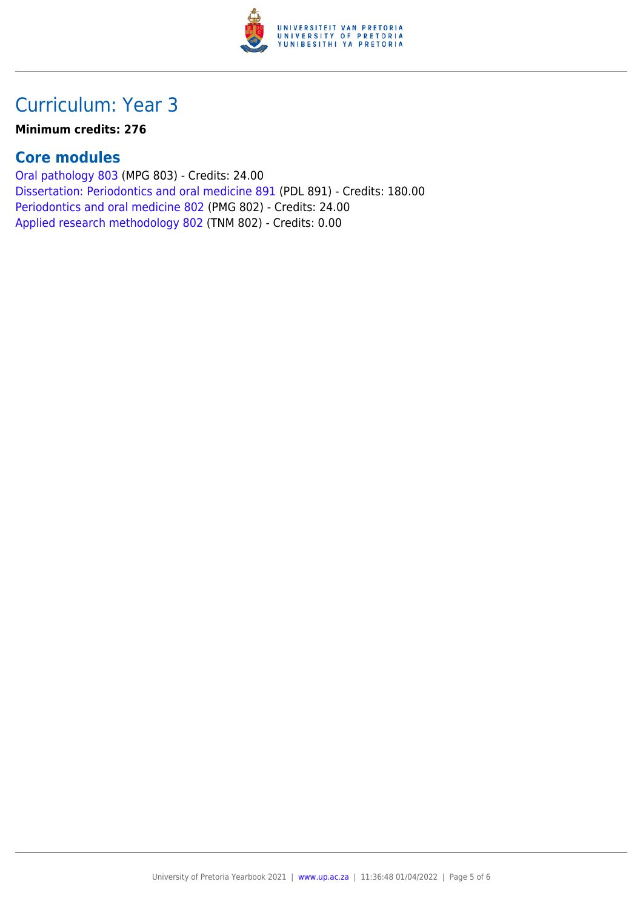

# Curriculum: Year 3

**Minimum credits: 276**

### **Core modules**

[Oral pathology 803](https://www.up.ac.za/yearbooks/2021/modules/view/MPG 803) (MPG 803) - Credits: 24.00 [Dissertation: Periodontics and oral medicine 891](https://www.up.ac.za/yearbooks/2021/modules/view/PDL 891) (PDL 891) - Credits: 180.00 [Periodontics and oral medicine 802](https://www.up.ac.za/yearbooks/2021/modules/view/PMG 802) (PMG 802) - Credits: 24.00 [Applied research methodology 802](https://www.up.ac.za/yearbooks/2021/modules/view/TNM 802) (TNM 802) - Credits: 0.00